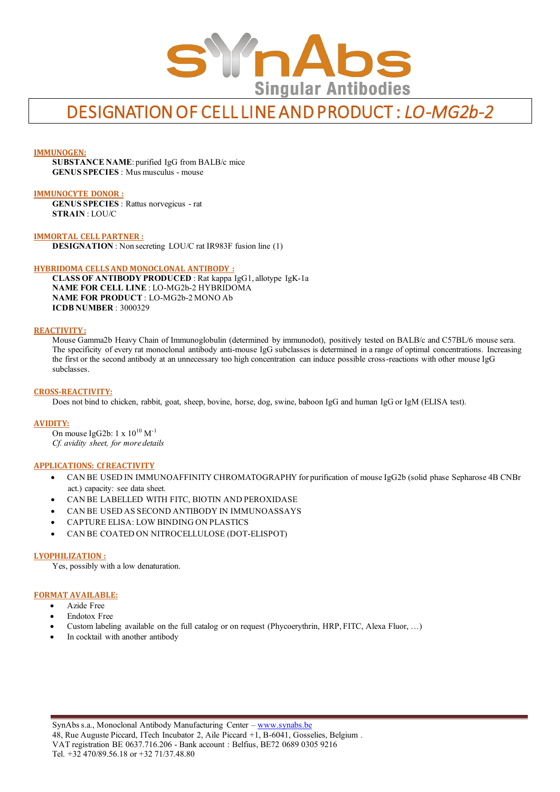

# DESIGNATION OF CELL LINE AND PRODUCT : *LO-MG2b-2*

## **IMMUNOGEN:**

**SUBSTANCE NAME**: purified IgG from BALB/c mice **GENUS SPECIES** : Mus musculus - mouse

## **IMMUNOCYTE DONOR :**

**GENUS SPECIES** : Rattus norvegicus - rat **STRAIN** : LOU/C

**IMMORTAL CELL PARTNER : DESIGNATION** : Non secreting LOU/C rat IR983F fusion line (1)

#### **HYBRIDOMA CELLS AND MONOCLONAL ANTIBODY :**

**CLASS OF ANTIBODY PRODUCED** : Rat kappa IgG1, allotype IgK-1a **NAME FOR CELL LINE** : LO-MG2b-2 HYBRIDOMA **NAME FOR PRODUCT** : LO-MG2b-2 MONO Ab **ICDB NUMBER** : 3000329

#### **REACTIVITY :**

Mouse Gamma2b Heavy Chain of Immunoglobulin (determined by immunodot), positively tested on BALB/c and C57BL/6 mouse sera. The specificity of every rat monoclonal antibody anti-mouse IgG subclasses is determined in a range of optimal concentrations. Increasing the first or the second antibody at an unnecessary too high concentration can induce possible cross-reactions with other mouse IgG subclasses.

#### **CROSS-REACTIVITY:**

Does not bind to chicken, rabbit, goat, sheep, bovine, horse, dog, swine, baboon IgG and human IgG or IgM (ELISA test).

#### **AVIDITY:**

On mouse IgG2b:  $1 \times 10^{10}$  M<sup>-1</sup> *Cf. avidity sheet, for more details*

#### **APPLICATIONS: Cf REACTIVITY**

- CAN BE USED IN IMMUNOAFFINITY CHROMATOGRAPHY for purification of mouse IgG2b (solid phase Sepharose 4B CNBr act.) capacity: see data sheet.
- CAN BE LABELLED WITH FITC, BIOTIN AND PEROXIDASE
- CAN BE USED AS SECOND ANTIBODY IN IMMUNOASSAYS
- CAPTURE ELISA: LOW BINDING ON PLASTICS
- CAN BE COATED ON NITROCELLULOSE (DOT-ELISPOT)

#### **LYOPHILIZATION :**

Yes, possibly with a low denaturation.

#### **FORMAT AVAILABLE:**

- Azide Free
- Endotox Free
- Custom labeling available on the full catalog or on request (Phycoerythrin, HRP, FITC, Alexa Fluor, …)
- In cocktail with another antibody